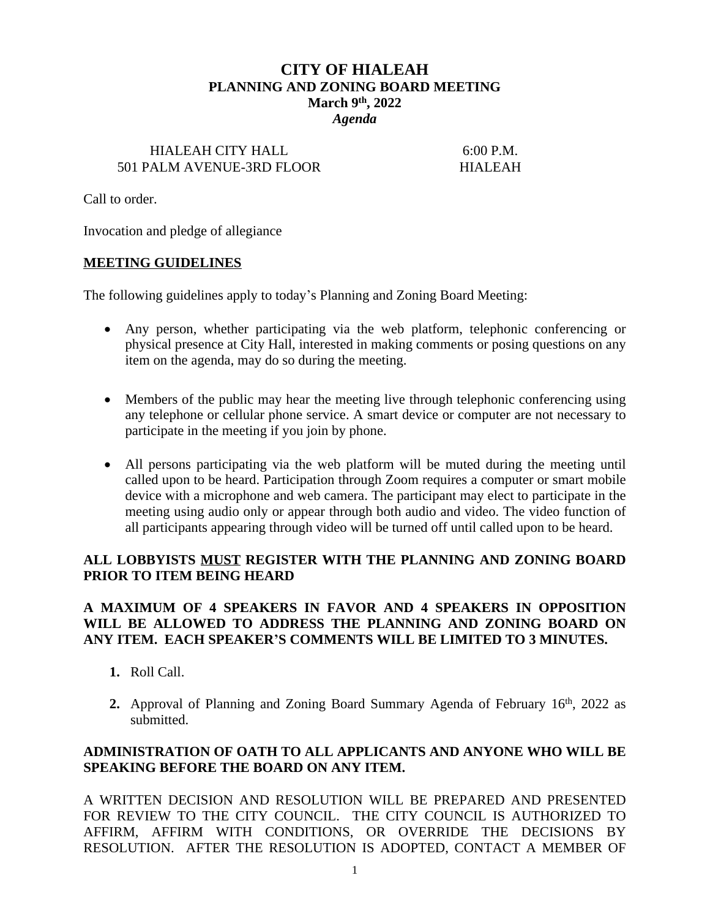# **CITY OF HIALEAH PLANNING AND ZONING BOARD MEETING March 9th, 2022** *Agenda*

### HIALEAH CITY HALL 6:00 P.M. 501 PALM AVENUE-3RD FLOOR HIALEAH

Call to order.

Invocation and pledge of allegiance

## **MEETING GUIDELINES**

The following guidelines apply to today's Planning and Zoning Board Meeting:

- Any person, whether participating via the web platform, telephonic conferencing or physical presence at City Hall, interested in making comments or posing questions on any item on the agenda, may do so during the meeting.
- Members of the public may hear the meeting live through telephonic conferencing using any telephone or cellular phone service. A smart device or computer are not necessary to participate in the meeting if you join by phone.
- All persons participating via the web platform will be muted during the meeting until called upon to be heard. Participation through Zoom requires a computer or smart mobile device with a microphone and web camera. The participant may elect to participate in the meeting using audio only or appear through both audio and video. The video function of all participants appearing through video will be turned off until called upon to be heard.

## **ALL LOBBYISTS MUST REGISTER WITH THE PLANNING AND ZONING BOARD PRIOR TO ITEM BEING HEARD**

# **A MAXIMUM OF 4 SPEAKERS IN FAVOR AND 4 SPEAKERS IN OPPOSITION WILL BE ALLOWED TO ADDRESS THE PLANNING AND ZONING BOARD ON ANY ITEM. EACH SPEAKER'S COMMENTS WILL BE LIMITED TO 3 MINUTES.**

- **1.** Roll Call.
- 2. Approval of Planning and Zoning Board Summary Agenda of February 16<sup>th</sup>, 2022 as submitted.

# **ADMINISTRATION OF OATH TO ALL APPLICANTS AND ANYONE WHO WILL BE SPEAKING BEFORE THE BOARD ON ANY ITEM.**

A WRITTEN DECISION AND RESOLUTION WILL BE PREPARED AND PRESENTED FOR REVIEW TO THE CITY COUNCIL. THE CITY COUNCIL IS AUTHORIZED TO AFFIRM, AFFIRM WITH CONDITIONS, OR OVERRIDE THE DECISIONS BY RESOLUTION. AFTER THE RESOLUTION IS ADOPTED, CONTACT A MEMBER OF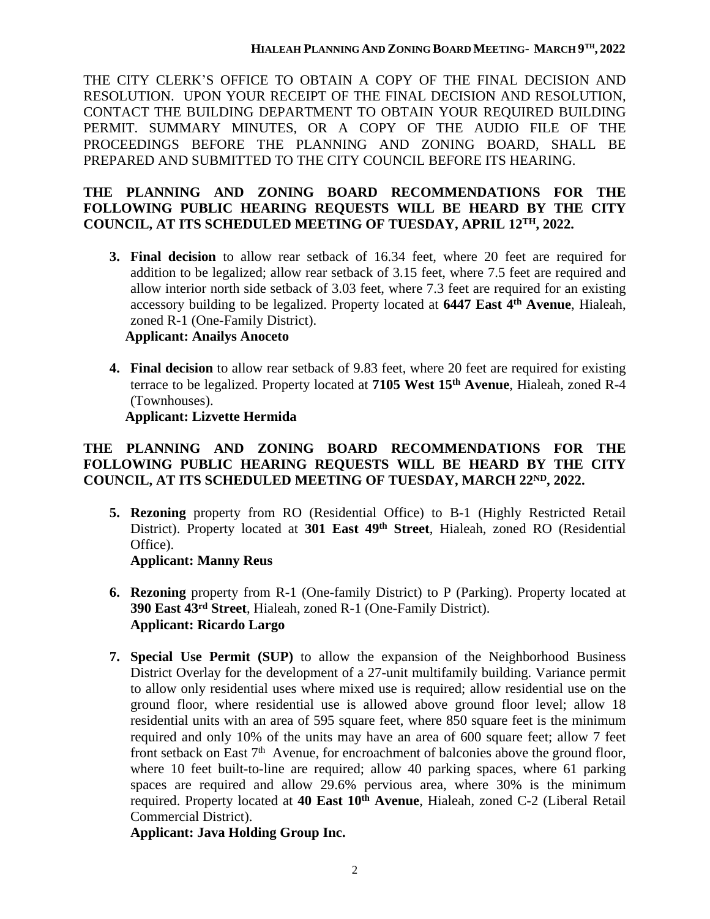THE CITY CLERK'S OFFICE TO OBTAIN A COPY OF THE FINAL DECISION AND RESOLUTION. UPON YOUR RECEIPT OF THE FINAL DECISION AND RESOLUTION, CONTACT THE BUILDING DEPARTMENT TO OBTAIN YOUR REQUIRED BUILDING PERMIT. SUMMARY MINUTES, OR A COPY OF THE AUDIO FILE OF THE PROCEEDINGS BEFORE THE PLANNING AND ZONING BOARD, SHALL BE PREPARED AND SUBMITTED TO THE CITY COUNCIL BEFORE ITS HEARING.

## **THE PLANNING AND ZONING BOARD RECOMMENDATIONS FOR THE FOLLOWING PUBLIC HEARING REQUESTS WILL BE HEARD BY THE CITY COUNCIL, AT ITS SCHEDULED MEETING OF TUESDAY, APRIL 12TH, 2022.**

**3. Final decision** to allow rear setback of 16.34 feet, where 20 feet are required for addition to be legalized; allow rear setback of 3.15 feet, where 7.5 feet are required and allow interior north side setback of 3.03 feet, where 7.3 feet are required for an existing accessory building to be legalized. Property located at **6447 East 4 th Avenue**, Hialeah, zoned R-1 (One-Family District).

## **Applicant: Anailys Anoceto**

**4. Final decision** to allow rear setback of 9.83 feet, where 20 feet are required for existing terrace to be legalized. Property located at **7105 West 15th Avenue**, Hialeah, zoned R-4 (Townhouses).

# **Applicant: Lizvette Hermida**

# **THE PLANNING AND ZONING BOARD RECOMMENDATIONS FOR THE FOLLOWING PUBLIC HEARING REQUESTS WILL BE HEARD BY THE CITY COUNCIL, AT ITS SCHEDULED MEETING OF TUESDAY, MARCH 22ND, 2022.**

**5. Rezoning** property from RO (Residential Office) to B-1 (Highly Restricted Retail District). Property located at **301 East 49th Street**, Hialeah, zoned RO (Residential Office).

# **Applicant: Manny Reus**

- **6. Rezoning** property from R-1 (One-family District) to P (Parking). Property located at **390 East 43rd Street**, Hialeah, zoned R-1 (One-Family District). **Applicant: Ricardo Largo**
- **7. Special Use Permit (SUP)** to allow the expansion of the Neighborhood Business District Overlay for the development of a 27-unit multifamily building. Variance permit to allow only residential uses where mixed use is required; allow residential use on the ground floor, where residential use is allowed above ground floor level; allow 18 residential units with an area of 595 square feet, where 850 square feet is the minimum required and only 10% of the units may have an area of 600 square feet; allow 7 feet front setback on East 7<sup>th</sup> Avenue, for encroachment of balconies above the ground floor, where 10 feet built-to-line are required; allow 40 parking spaces, where 61 parking spaces are required and allow 29.6% pervious area, where 30% is the minimum required. Property located at **40 East 10th Avenue**, Hialeah, zoned C-2 (Liberal Retail Commercial District).

**Applicant: Java Holding Group Inc.**